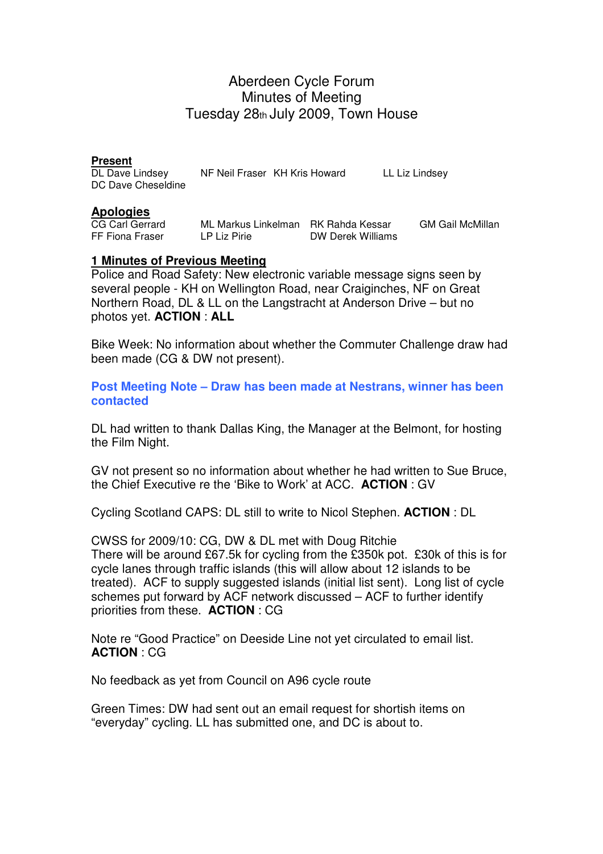# Aberdeen Cycle Forum Minutes of Meeting Tuesday 28th July 2009, Town House

**Present**<br>DL Dave Lindsev

NF Neil Fraser KH Kris Howard LL Liz Lindsey DC Dave Cheseldine

#### **Apologies**

CG Carl Gerrard ML Markus Linkelman RK Rahda Kessar GM Gail McMillan FF Fiona Fraser LP Liz Pirie DW Derek Williams LP Liz Pirie **DW Derek Williams** 

### **1 Minutes of Previous Meeting**

Police and Road Safety: New electronic variable message signs seen by several people - KH on Wellington Road, near Craiginches, NF on Great Northern Road, DL & LL on the Langstracht at Anderson Drive – but no photos yet. **ACTION** : **ALL**

Bike Week: No information about whether the Commuter Challenge draw had been made (CG & DW not present).

**Post Meeting Note – Draw has been made at Nestrans, winner has been contacted** 

DL had written to thank Dallas King, the Manager at the Belmont, for hosting the Film Night.

GV not present so no information about whether he had written to Sue Bruce, the Chief Executive re the 'Bike to Work' at ACC. **ACTION** : GV

Cycling Scotland CAPS: DL still to write to Nicol Stephen. **ACTION** : DL

CWSS for 2009/10: CG, DW & DL met with Doug Ritchie There will be around £67.5k for cycling from the £350k pot. £30k of this is for cycle lanes through traffic islands (this will allow about 12 islands to be treated). ACF to supply suggested islands (initial list sent). Long list of cycle schemes put forward by ACF network discussed – ACF to further identify priorities from these. **ACTION** : CG

Note re "Good Practice" on Deeside Line not yet circulated to email list. **ACTION** : CG

No feedback as yet from Council on A96 cycle route

Green Times: DW had sent out an email request for shortish items on "everyday" cycling. LL has submitted one, and DC is about to.